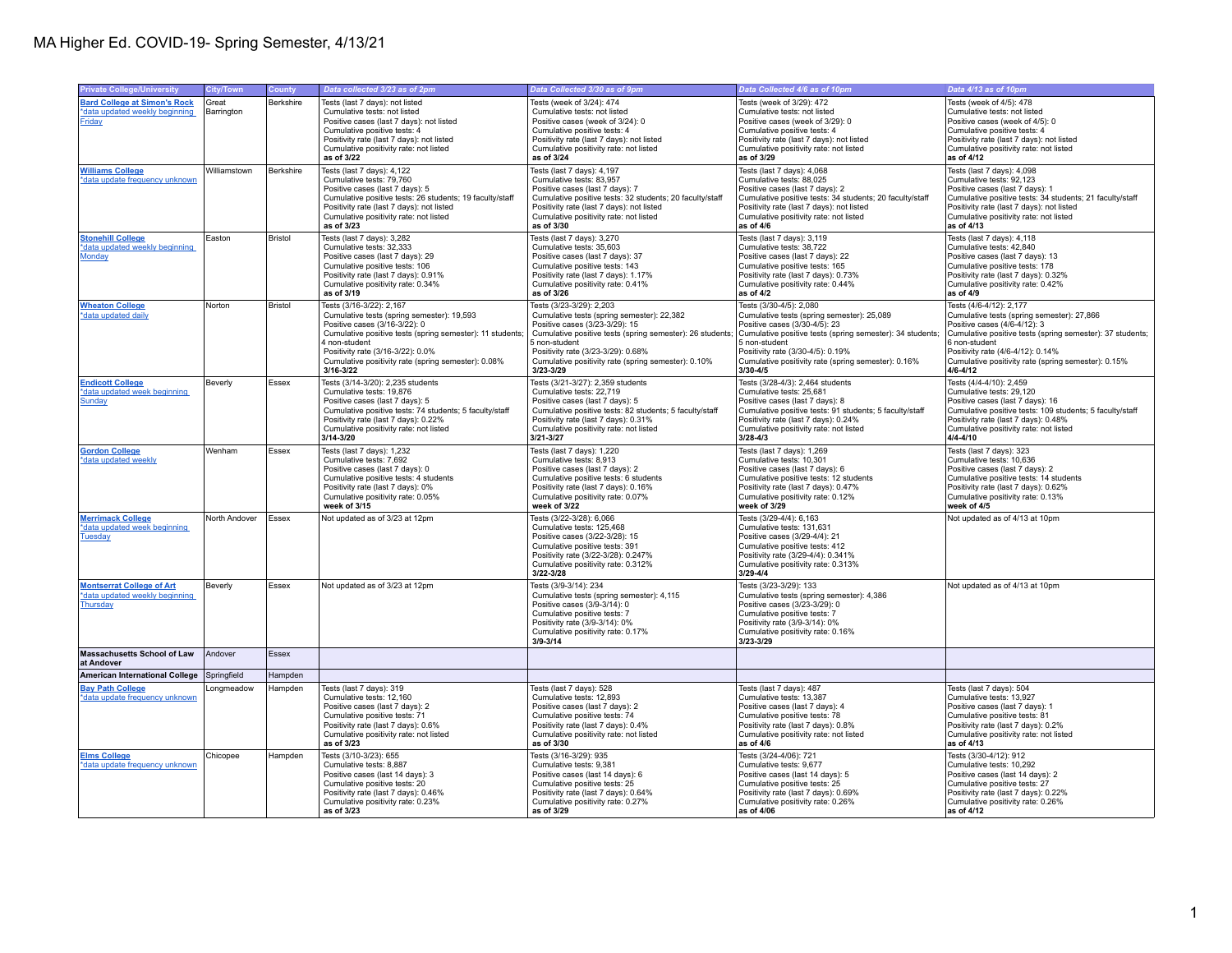| <b>Private College/University</b>                       | <b>City/Town</b> | County    | Data collected 3/23 as of 2pm                                                               | Data Collected 3/30 as of 9pm                                                               | Data Collected 4/6 as of 10pm                                                               | Data 4/13 as of 10pm                                                                        |
|---------------------------------------------------------|------------------|-----------|---------------------------------------------------------------------------------------------|---------------------------------------------------------------------------------------------|---------------------------------------------------------------------------------------------|---------------------------------------------------------------------------------------------|
|                                                         |                  |           |                                                                                             |                                                                                             |                                                                                             |                                                                                             |
| <b>Bard College at Simon's Rock</b>                     | Great            | Berkshire | Tests (last 7 days): not listed                                                             | Tests (week of 3/24): 474                                                                   | Tests (week of 3/29): 472                                                                   | Tests (week of 4/5): 478                                                                    |
| *data updated weekly beginning                          | Barrington       |           | Cumulative tests: not listed                                                                | Cumulative tests: not listed                                                                | Cumulative tests: not listed                                                                | Cumulative tests: not listed                                                                |
| <b>Friday</b>                                           |                  |           | Positive cases (last 7 days): not listed                                                    | Positive cases (week of 3/24): 0                                                            | Positive cases (week of 3/29): 0                                                            | Positive cases (week of 4/5): 0                                                             |
|                                                         |                  |           | Cumulative positive tests: 4                                                                | Cumulative positive tests: 4                                                                | Cumulative positive tests: 4                                                                | Cumulative positive tests: 4                                                                |
|                                                         |                  |           | Positivity rate (last 7 days): not listed                                                   | Positivity rate (last 7 days): not listed                                                   | Positivity rate (last 7 days): not listed                                                   | Positivity rate (last 7 days): not listed                                                   |
|                                                         |                  |           | Cumulative positivity rate: not listed                                                      | Cumulative positivity rate: not listed                                                      | Cumulative positivity rate: not listed<br>as of 3/29                                        | Cumulative positivity rate: not listed                                                      |
|                                                         |                  |           | as of 3/22                                                                                  | as of 3/24                                                                                  |                                                                                             | as of 4/12                                                                                  |
| <b>Williams College</b>                                 | Williamstown     | Berkshire | Tests (last 7 days): 4,122                                                                  | Tests (last 7 days): 4,197                                                                  | Tests (last 7 days): 4,068                                                                  | Tests (last 7 days): 4,098                                                                  |
| *data update frequency unknown                          |                  |           | Cumulative tests: 79,760                                                                    | Cumulative tests: 83,957                                                                    | Cumulative tests: 88,025                                                                    | Cumulative tests: 92,123                                                                    |
|                                                         |                  |           | Positive cases (last 7 days): 5<br>Cumulative positive tests: 26 students; 19 faculty/staff | Positive cases (last 7 days): 7<br>Cumulative positive tests: 32 students; 20 faculty/staff | Positive cases (last 7 days): 2<br>Cumulative positive tests: 34 students; 20 faculty/staff | Positive cases (last 7 days): 1<br>Cumulative positive tests: 34 students; 21 faculty/staff |
|                                                         |                  |           | Positivity rate (last 7 days): not listed                                                   | Positivity rate (last 7 days): not listed                                                   | Positivity rate (last 7 days): not listed                                                   | Positivity rate (last 7 days): not listed                                                   |
|                                                         |                  |           | Cumulative positivity rate: not listed                                                      | Cumulative positivity rate: not listed                                                      | Cumulative positivity rate: not listed                                                      | Cumulative positivity rate: not listed                                                      |
|                                                         |                  |           | as of 3/23                                                                                  | as of 3/30                                                                                  | as of $4/6$                                                                                 | as of 4/13                                                                                  |
| <b>Stonehill College</b>                                | Easton           | Bristol   | Tests (last 7 days): 3,282                                                                  | Tests (last 7 days): 3,270                                                                  | Tests (last 7 days): 3,119                                                                  | Tests (last 7 days): 4,118                                                                  |
| *data updated weekly beginning                          |                  |           | Cumulative tests: 32.333                                                                    | Cumulative tests: 35.603                                                                    | Cumulative tests: 38.722                                                                    | Cumulative tests: 42.840                                                                    |
| Monday                                                  |                  |           | Positive cases (last 7 days): 29                                                            | Positive cases (last 7 days): 37                                                            | Positive cases (last 7 days): 22                                                            | Positive cases (last 7 days): 13                                                            |
|                                                         |                  |           | Cumulative positive tests: 106                                                              | Cumulative positive tests: 143                                                              | Cumulative positive tests: 165                                                              | Cumulative positive tests: 178                                                              |
|                                                         |                  |           | Positivity rate (last 7 days): 0.91%                                                        | Positivity rate (last 7 days): 1.17%                                                        | Positivity rate (last 7 days): 0.73%                                                        | Positivity rate (last 7 days): 0.32%                                                        |
|                                                         |                  |           | Cumulative positivity rate: 0.34%                                                           | Cumulative positivity rate: 0.41%                                                           | Cumulative positivity rate: 0.44%                                                           | Cumulative positivity rate: 0.42%                                                           |
|                                                         |                  |           | as of 3/19                                                                                  | as of 3/26                                                                                  | as of 4/2                                                                                   | as of 4/9                                                                                   |
| <b>Wheaton College</b>                                  | Norton           | Bristol   | Tests (3/16-3/22): 2,167                                                                    | Tests (3/23-3/29): 2,203                                                                    | Tests (3/30-4/5): 2,080                                                                     | Tests (4/6-4/12): 2,177                                                                     |
| *data updated daily                                     |                  |           | Cumulative tests (spring semester): 19,593                                                  | Cumulative tests (spring semester): 22,382                                                  | Cumulative tests (spring semester): 25,089                                                  | Cumulative tests (spring semester): 27,866                                                  |
|                                                         |                  |           | Positive cases (3/16-3/22): 0                                                               | Positive cases (3/23-3/29): 15                                                              | Positive cases (3/30-4/5): 23                                                               | Positive cases (4/6-4/12): 3                                                                |
|                                                         |                  |           | Cumulative positive tests (spring semester): 11 students;                                   | Cumulative positive tests (spring semester): 26 students                                    | Cumulative positive tests (spring semester): 34 students;                                   | Cumulative positive tests (spring semester): 37 students;                                   |
|                                                         |                  |           | 4 non-student                                                                               | 5 non-student                                                                               | 5 non-student                                                                               | 6 non-student                                                                               |
|                                                         |                  |           | Positivity rate (3/16-3/22): 0.0%                                                           | Positivity rate (3/23-3/29): 0.68%                                                          | Positivity rate (3/30-4/5): 0.19%                                                           | Positivity rate (4/6-4/12): 0.14%                                                           |
|                                                         |                  |           | Cumulative positivity rate (spring semester): 0.08%<br>$3/16 - 3/22$                        | Cumulative positivity rate (spring semester): 0.10%<br>3/23-3/29                            | Cumulative positivity rate (spring semester): 0.16%<br>$3/30 - 4/5$                         | Cumulative positivity rate (spring semester): 0.15%<br>$4/6 - 4/12$                         |
|                                                         |                  |           |                                                                                             |                                                                                             |                                                                                             |                                                                                             |
| <b>Endicott College</b><br>*data updated week beginning | Beverly          | Essex     | Tests (3/14-3/20): 2,235 students<br>Cumulative tests: 19,876                               | Tests (3/21-3/27): 2,359 students<br>Cumulative tests: 22,719                               | Tests (3/28-4/3): 2,464 students<br>Cumulative tests: 25,681                                | Tests (4/4-4/10): 2,459<br>Cumulative tests: 29,120                                         |
| <b>Sunday</b>                                           |                  |           | Positive cases (last 7 days): 5                                                             | Positive cases (last 7 days): 5                                                             | Positive cases (last 7 days): 8                                                             | Positive cases (last 7 days): 16                                                            |
|                                                         |                  |           | Cumulative positive tests: 74 students; 5 faculty/staff                                     | Cumulative positive tests: 82 students; 5 faculty/staff                                     | Cumulative positive tests: 91 students; 5 faculty/staff                                     | Cumulative positive tests: 109 students; 5 faculty/staff                                    |
|                                                         |                  |           | Positivity rate (last 7 days): 0.22%                                                        | Positivity rate (last 7 days): 0.31%                                                        | Positivity rate (last 7 days): 0.24%                                                        | Positivity rate (last 7 days): 0.48%                                                        |
|                                                         |                  |           | Cumulative positivity rate: not listed                                                      | Cumulative positivity rate: not listed                                                      | Cumulative positivity rate: not listed                                                      | Cumulative positivity rate: not listed                                                      |
|                                                         |                  |           | $3/14 - 3/20$                                                                               | $3/21 - 3/27$                                                                               | $3/28 - 4/3$                                                                                | $4/4 - 4/10$                                                                                |
| <b>Gordon College</b>                                   | Wenham           | Essex     | Tests (last 7 days): 1,232                                                                  | Tests (last 7 days): 1,220                                                                  | Tests (last 7 days): 1,269                                                                  | Tests (last 7 days): 323                                                                    |
| *data updated weekly                                    |                  |           | Cumulative tests: 7.692                                                                     | Cumulative tests: 8.913                                                                     | Cumulative tests: 10.301                                                                    | Cumulative tests: 10.636                                                                    |
|                                                         |                  |           | Positive cases (last 7 days): 0                                                             | Positive cases (last 7 days): 2                                                             | Positive cases (last 7 days): 6                                                             | Positive cases (last 7 days): 2                                                             |
|                                                         |                  |           | Cumulative positive tests: 4 students                                                       | Cumulative positive tests: 6 students                                                       | Cumulative positive tests: 12 students                                                      | Cumulative positive tests: 14 students                                                      |
|                                                         |                  |           | Positivity rate (last 7 days): 0%                                                           | Positivity rate (last 7 days): 0.16%                                                        | Positivity rate (last 7 days): 0.47%                                                        | Positivity rate (last 7 days): 0.62%                                                        |
|                                                         |                  |           | Cumulative positivity rate: 0.05%                                                           | Cumulative positivity rate: 0.07%                                                           | Cumulative positivity rate: 0.12%                                                           | Cumulative positivity rate: 0.13%                                                           |
|                                                         |                  |           | week of 3/15                                                                                | week of 3/22                                                                                | week of 3/29                                                                                | week of 4/5                                                                                 |
| <b>Merrimack College</b>                                | North Andover    | Essex     | Not updated as of 3/23 at 12pm                                                              | Tests (3/22-3/28): 6,066                                                                    | Tests (3/29-4/4): 6,163                                                                     | Not updated as of 4/13 at 10pm                                                              |
| *data updated week beginning                            |                  |           |                                                                                             | Cumulative tests: 125,468                                                                   | Cumulative tests: 131,631                                                                   |                                                                                             |
| Tuesday                                                 |                  |           |                                                                                             | Positive cases (3/22-3/28): 15                                                              | Positive cases (3/29-4/4): 21                                                               |                                                                                             |
|                                                         |                  |           |                                                                                             | Cumulative positive tests: 391                                                              | Cumulative positive tests: 412                                                              |                                                                                             |
|                                                         |                  |           |                                                                                             | Positivity rate (3/22-3/28): 0.247%<br>Cumulative positivity rate: 0.312%                   | Positivity rate (3/29-4/4): 0.341%<br>Cumulative positivity rate: 0.313%                    |                                                                                             |
|                                                         |                  |           |                                                                                             | 3/22-3/28                                                                                   | $3/29 - 4/4$                                                                                |                                                                                             |
| <b>Montserrat College of Art</b>                        | Beverly          | Essex     | Not updated as of 3/23 at 12pm                                                              | Tests (3/9-3/14): 234                                                                       | Tests (3/23-3/29): 133                                                                      | Not updated as of 4/13 at 10pm                                                              |
| *data updated weekly beginning                          |                  |           |                                                                                             | Cumulative tests (spring semester): 4,115                                                   | Cumulative tests (spring semester): 4,386                                                   |                                                                                             |
| Thursday                                                |                  |           |                                                                                             | Positive cases (3/9-3/14): 0                                                                | Positive cases (3/23-3/29): 0                                                               |                                                                                             |
|                                                         |                  |           |                                                                                             | Cumulative positive tests: 7                                                                | Cumulative positive tests: 7                                                                |                                                                                             |
|                                                         |                  |           |                                                                                             | Positivity rate (3/9-3/14): 0%                                                              | Positivity rate (3/9-3/14): 0%                                                              |                                                                                             |
|                                                         |                  |           |                                                                                             | Cumulative positivity rate: 0.17%                                                           | Cumulative positivity rate: 0.16%                                                           |                                                                                             |
|                                                         |                  |           |                                                                                             | $3/9 - 3/14$                                                                                | 3/23-3/29                                                                                   |                                                                                             |
| <b>Massachusetts School of Law</b><br>at Andover        | Andover          | Essex     |                                                                                             |                                                                                             |                                                                                             |                                                                                             |
| <b>American International College</b>                   | Springfield      | Hampden   |                                                                                             |                                                                                             |                                                                                             |                                                                                             |
| <b>Bay Path College</b>                                 | Longmeadow       | Hampden   | Tests (last 7 days): 319                                                                    | Tests (last 7 days): 528                                                                    | Tests (last 7 days): 487                                                                    | Tests (last 7 days): 504                                                                    |
| *data update frequency unknown                          |                  |           | Cumulative tests: 12.160                                                                    | Cumulative tests: 12.893                                                                    | Cumulative tests: 13.387                                                                    | Cumulative tests: 13.927                                                                    |
|                                                         |                  |           | Positive cases (last 7 days): 2                                                             | Positive cases (last 7 days): 2                                                             | Positive cases (last 7 days): 4                                                             | Positive cases (last 7 days): 1                                                             |
|                                                         |                  |           | Cumulative positive tests: 71                                                               | Cumulative positive tests: 74                                                               | Cumulative positive tests: 78                                                               | Cumulative positive tests: 81                                                               |
|                                                         |                  |           | Positivity rate (last 7 days): 0.6%<br>Cumulative positivity rate: not listed               | Positivity rate (last 7 days): 0.4%<br>Cumulative positivity rate: not listed               | Positivity rate (last 7 days): 0.8%<br>Cumulative positivity rate: not listed               | Positivity rate (last 7 days): 0.2%<br>Cumulative positivity rate: not listed               |
|                                                         |                  |           | as of 3/23                                                                                  | as of 3/30                                                                                  | as of 4/6                                                                                   | as of 4/13                                                                                  |
|                                                         |                  |           | Tests (3/10-3/23): 655                                                                      | Tests (3/16-3/29): 935                                                                      |                                                                                             | Tests (3/30-4/12): 912                                                                      |
| <b>Elms College</b><br>*data update frequency unknown   | Chicopee         | Hampden   | Cumulative tests: 8,887                                                                     | Cumulative tests: 9,381                                                                     | Tests (3/24-4/06): 721<br>Cumulative tests: 9,677                                           | Cumulative tests: 10,292                                                                    |
|                                                         |                  |           | Positive cases (last 14 days): 3                                                            | Positive cases (last 14 days): 6                                                            | Positive cases (last 14 days): 5                                                            | Positive cases (last 14 days): 2                                                            |
|                                                         |                  |           | Cumulative positive tests: 20                                                               | Cumulative positive tests: 25                                                               | Cumulative positive tests: 25                                                               | Cumulative positive tests: 27                                                               |
|                                                         |                  |           | Positivity rate (last 7 days): 0.46%                                                        | Positivity rate (last 7 days): 0.64%                                                        | Positivity rate (last 7 days): 0.69%                                                        | Positivity rate (last 7 days): 0.22%                                                        |
|                                                         |                  |           | Cumulative positivity rate: 0.23%                                                           | Cumulative positivity rate: 0.27%                                                           | Cumulative positivity rate: 0.26%                                                           | Cumulative positivity rate: 0.26%                                                           |
|                                                         |                  |           | as of 3/23                                                                                  | as of 3/29                                                                                  | as of 4/06                                                                                  | as of 4/12                                                                                  |
|                                                         |                  |           |                                                                                             |                                                                                             |                                                                                             |                                                                                             |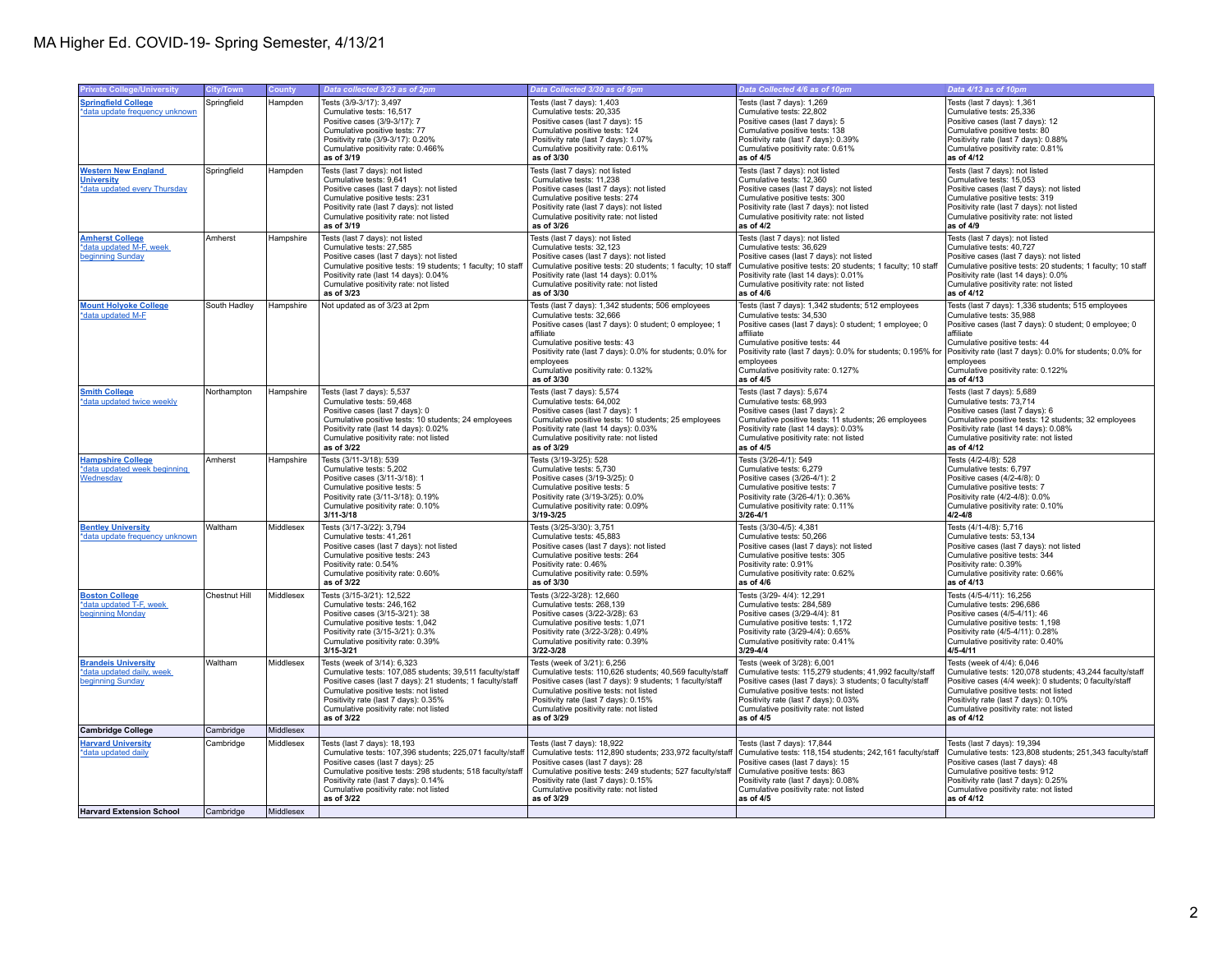| <b>Private College/University</b>                                                   | <b>City/Town</b>       | County                 | Data collected 3/23 as of 2pm                                                                                                                                                                                                                                                                  | Data Collected 3/30 as of 9pm                                                                                                                                                                                                                                                                                         | Data Collected 4/6 as of 10pm                                                                                                                                                                                                                                                                                          | Data 4/13 as of 10pm                                                                                                                                                                                                                                                                                                  |
|-------------------------------------------------------------------------------------|------------------------|------------------------|------------------------------------------------------------------------------------------------------------------------------------------------------------------------------------------------------------------------------------------------------------------------------------------------|-----------------------------------------------------------------------------------------------------------------------------------------------------------------------------------------------------------------------------------------------------------------------------------------------------------------------|------------------------------------------------------------------------------------------------------------------------------------------------------------------------------------------------------------------------------------------------------------------------------------------------------------------------|-----------------------------------------------------------------------------------------------------------------------------------------------------------------------------------------------------------------------------------------------------------------------------------------------------------------------|
| <b>Springfield College</b><br>*data update frequency unknown                        | Springfield            | Hampden                | Tests (3/9-3/17): 3,497<br>Cumulative tests: 16,517<br>Positive cases (3/9-3/17): 7<br>Cumulative positive tests: 77<br>Positivity rate (3/9-3/17): 0.20%<br>Cumulative positivity rate: 0.466%<br>as of 3/19                                                                                  | Tests (last 7 days): 1,403<br>Cumulative tests: 20,335<br>Positive cases (last 7 days): 15<br>Cumulative positive tests: 124<br>Positivity rate (last 7 days): 1.07%<br>Cumulative positivity rate: 0.61%<br>as of 3/30                                                                                               | Tests (last 7 days): 1,269<br>Cumulative tests: 22,802<br>Positive cases (last 7 days): 5<br>Cumulative positive tests: 138<br>Positivity rate (last 7 days): 0.39%<br>Cumulative positivity rate: 0.61%<br>as of 4/5                                                                                                  | Tests (last 7 days): 1,361<br>Cumulative tests: 25,336<br>Positive cases (last 7 days): 12<br>Cumulative positive tests: 80<br>Positivity rate (last 7 days): 0.88%<br>Cumulative positivity rate: 0.81%<br>as of 4/12                                                                                                |
| <b>Western New England</b><br><b>University</b><br>*data updated every Thursday     | Springfield            | Hampden                | Tests (last 7 days): not listed<br>Cumulative tests: 9,641<br>Positive cases (last 7 days): not listed<br>Cumulative positive tests: 231<br>Positivity rate (last 7 days): not listed<br>Cumulative positivity rate: not listed<br>as of 3/19                                                  | Tests (last 7 days): not listed<br>Cumulative tests: 11,238<br>Positive cases (last 7 days): not listed<br>Cumulative positive tests: 274<br>Positivity rate (last 7 days): not listed<br>Cumulative positivity rate: not listed<br>as of 3/26                                                                        | Tests (last 7 days): not listed<br>Cumulative tests: 12,360<br>Positive cases (last 7 days): not listed<br>Cumulative positive tests: 300<br>Positivity rate (last 7 days): not listed<br>Cumulative positivity rate: not listed<br>as of 4/2                                                                          | Tests (last 7 days): not listed<br>Cumulative tests: 15,053<br>Positive cases (last 7 days): not listed<br>Cumulative positive tests: 319<br>Positivity rate (last 7 days): not listed<br>Cumulative positivity rate: not listed<br>as of 4/9                                                                         |
| <b>Amherst College</b><br>*data updated M-F, week<br>beginning Sunday               | Amherst                | Hampshire              | Tests (last 7 days): not listed<br>Cumulative tests: 27,585<br>Positive cases (last 7 days): not listed<br>Cumulative positive tests: 19 students; 1 faculty; 10 staff<br>Positivity rate (last 14 days): 0.04%<br>Cumulative positivity rate: not listed<br>as of 3/23                        | Tests (last 7 days): not listed<br>Cumulative tests: 32,123<br>Positive cases (last 7 days): not listed<br>Cumulative positive tests: 20 students; 1 faculty; 10 staff<br>Positivity rate (last 14 days): 0.01%<br>Cumulative positivity rate: not listed<br>as of 3/30                                               | Tests (last 7 days): not listed<br>Cumulative tests: 36,629<br>Positive cases (last 7 days): not listed<br>Cumulative positive tests: 20 students; 1 faculty; 10 staff<br>Positivity rate (last 14 days): 0.01%<br>Cumulative positivity rate: not listed<br>as of 4/6                                                 | Tests (last 7 days): not listed<br>Cumulative tests: 40,727<br>Positive cases (last 7 days): not listed<br>Cumulative positive tests: 20 students; 1 faculty; 10 staff<br>Positivity rate (last 14 days): 0.0%<br>Cumulative positivity rate: not listed<br>as of 4/12                                                |
| <b>Mount Holyoke College</b><br>*data updated M-F                                   | South Hadley           | Hampshire              | Not updated as of 3/23 at 2pm                                                                                                                                                                                                                                                                  | Tests (last 7 days): 1,342 students; 506 employees<br>Cumulative tests: 32,666<br>Positive cases (last 7 days): 0 student; 0 employee; 1<br>affiliate<br>Cumulative positive tests: 43<br>Positivity rate (last 7 days): 0.0% for students; 0.0% for<br>employees<br>Cumulative positivity rate: 0.132%<br>as of 3/30 | Tests (last 7 days): 1,342 students; 512 employees<br>Cumulative tests: 34,530<br>Positive cases (last 7 days): 0 student; 1 employee; 0<br>affiliate<br>Cumulative positive tests: 44<br>Positivity rate (last 7 days): 0.0% for students; 0.195% for<br>employees<br>Cumulative positivity rate: 0.127%<br>as of 4/5 | Tests (last 7 days): 1,336 students; 515 employees<br>Cumulative tests: 35,988<br>Positive cases (last 7 days): 0 student; 0 employee; 0<br>affiliate<br>Cumulative positive tests: 44<br>Positivity rate (last 7 days): 0.0% for students; 0.0% for<br>employees<br>Cumulative positivity rate: 0.122%<br>as of 4/13 |
| <b>Smith College</b><br>*data updated twice weekly                                  | Northampton            | Hampshire              | Tests (last 7 days): 5,537<br>Cumulative tests: 59.468<br>Positive cases (last 7 days); 0<br>Cumulative positive tests: 10 students; 24 employees<br>Positivity rate (last 14 days): 0.02%<br>Cumulative positivity rate: not listed<br>as of 3/22                                             | Tests (last 7 days): 5,574<br>Cumulative tests: 64.002<br>Positive cases (last 7 days): 1<br>Cumulative positive tests: 10 students; 25 employees<br>Positivity rate (last 14 days): 0.03%<br>Cumulative positivity rate: not listed<br>as of 3/29                                                                    | Tests (last 7 days): 5,674<br>Cumulative tests: 68.993<br>Positive cases (last 7 days): 2<br>Cumulative positive tests: 11 students; 26 employees<br>Positivity rate (last 14 days): 0.03%<br>Cumulative positivity rate: not listed<br>as of 4/5                                                                      | Tests (last 7 days): 5,689<br>Cumulative tests: 73.714<br>Positive cases (last 7 days): 6<br>Cumulative positive tests: 12 students; 32 employees<br>Positivity rate (last 14 days): 0.08%<br>Cumulative positivity rate: not listed<br>as of 4/12                                                                    |
| <b>Hampshire College</b><br>*data updated week beginning<br>Wednesday               | Amherst                | Hampshire              | Tests (3/11-3/18): 539<br>Cumulative tests: 5,202<br>Positive cases (3/11-3/18): 1<br>Cumulative positive tests: 5<br>Positivity rate (3/11-3/18): 0.19%<br>Cumulative positivity rate: 0.10%<br>$3/11 - 3/18$                                                                                 | Tests (3/19-3/25): 528<br>Cumulative tests: 5,730<br>Positive cases (3/19-3/25): 0<br>Cumulative positive tests: 5<br>Positivity rate (3/19-3/25): 0.0%<br>Cumulative positivity rate: 0.09%<br>3/19-3/25                                                                                                             | Tests (3/26-4/1): 549<br>Cumulative tests: 6,279<br>Positive cases (3/26-4/1): 2<br>Cumulative positive tests: 7<br>Positivity rate (3/26-4/1): 0.36%<br>Cumulative positivity rate: 0.11%<br>$3/26 - 4/1$                                                                                                             | Tests (4/2-4/8): 528<br>Cumulative tests: 6,797<br>Positive cases (4/2-4/8): 0<br>Cumulative positive tests: 7<br>Positivity rate (4/2-4/8): 0.0%<br>Cumulative positivity rate: 0.10%<br>$4/2 - 4/8$                                                                                                                 |
| <b>Bentley University</b><br>*data update frequency unknown                         | Waltham                | Middlesex              | Tests (3/17-3/22): 3,794<br>Cumulative tests: 41,261<br>Positive cases (last 7 days); not listed<br>Cumulative positive tests: 243<br>Positivity rate: 0.54%<br>Cumulative positivity rate: 0.60%<br>as of 3/22                                                                                | Tests (3/25-3/30): 3,751<br>Cumulative tests: 45,883<br>Positive cases (last 7 days); not listed<br>Cumulative positive tests: 264<br>Positivity rate: 0.46%<br>Cumulative positivity rate: 0.59%<br>as of 3/30                                                                                                       | Tests (3/30-4/5): 4,381<br>Cumulative tests: 50,266<br>Positive cases (last 7 days); not listed<br>Cumulative positive tests: 305<br>Positivity rate: 0.91%<br>Cumulative positivity rate: 0.62%<br>as of 4/6                                                                                                          | Tests (4/1-4/8): 5,716<br>Cumulative tests: 53.134<br>Positive cases (last 7 days); not listed<br>Cumulative positive tests: 344<br>Positivity rate: 0.39%<br>Cumulative positivity rate: 0.66%<br>as of 4/13                                                                                                         |
| <b>Boston College</b><br>*data updated T-F, week<br>beginning Monday                | Chestnut Hill          | Middlesex              | Tests (3/15-3/21): 12,522<br>Cumulative tests: 246,162<br>Positive cases (3/15-3/21): 38<br>Cumulative positive tests: 1,042<br>Positivity rate (3/15-3/21): 0.3%<br>Cumulative positivity rate: 0.39%<br>$3/15 - 3/21$                                                                        | Tests (3/22-3/28): 12,660<br>Cumulative tests: 268,139<br>Positive cases (3/22-3/28): 63<br>Cumulative positive tests: 1.071<br>Positivity rate (3/22-3/28): 0.49%<br>Cumulative positivity rate: 0.39%<br>3/22-3/28                                                                                                  | Tests (3/29-4/4): 12,291<br>Cumulative tests: 284,589<br>Positive cases (3/29-4/4): 81<br>Cumulative positive tests: 1,172<br>Positivity rate (3/29-4/4): 0.65%<br>Cumulative positivity rate: 0.41%<br>$3/29 - 4/4$                                                                                                   | Tests (4/5-4/11): 16,256<br>Cumulative tests: 296,686<br>Positive cases (4/5-4/11): 46<br>Cumulative positive tests: 1,198<br>Positivity rate (4/5-4/11): 0.28%<br>Cumulative positivity rate: 0.40%<br>$4/5 - 4/11$                                                                                                  |
| <b>Brandeis University</b><br>*data updated daily, week<br>beginning Sunday         | Waltham                | Middlesex              | Tests (week of 3/14): 6,323<br>Cumulative tests: 107,085 students; 39,511 faculty/staff<br>Positive cases (last 7 days): 21 students; 1 faculty/staff<br>Cumulative positive tests: not listed<br>Positivity rate (last 7 days): 0.35%<br>Cumulative positivity rate: not listed<br>as of 3/22 | Tests (week of 3/21): 6,256<br>Cumulative tests: 110,626 students; 40,569 faculty/staff<br>Positive cases (last 7 days): 9 students; 1 faculty/staff<br>Cumulative positive tests: not listed<br>Positivity rate (last 7 days): 0.15%<br>Cumulative positivity rate: not listed<br>as of 3/29                         | Tests (week of 3/28): 6,001<br>Cumulative tests: 115,279 students; 41,992 faculty/staff<br>Positive cases (last 7 days): 3 students; 0 faculty/staff<br>Cumulative positive tests: not listed<br>Positivity rate (last 7 days): 0.03%<br>Cumulative positivity rate: not listed<br>as of 4/5                           | Tests (week of 4/4): 6,046<br>Cumulative tests: 120,078 students; 43,244 faculty/staff<br>Positive cases (4/4 week): 0 students; 0 faculty/staff<br>Cumulative positive tests: not listed<br>Positivity rate (last 7 days): 0.10%<br>Cumulative positivity rate: not listed<br>as of 4/12                             |
| <b>Cambridge College</b>                                                            | Cambridge              | Middlesex              |                                                                                                                                                                                                                                                                                                |                                                                                                                                                                                                                                                                                                                       |                                                                                                                                                                                                                                                                                                                        |                                                                                                                                                                                                                                                                                                                       |
| <b>Harvard University</b><br>*data updated daily<br><b>Harvard Extension School</b> | Cambridge<br>Cambridge | Middlesex<br>Middlesex | Tests (last 7 days): 18,193<br>Cumulative tests: 107,396 students; 225,071 faculty/staff<br>Positive cases (last 7 days): 25<br>Cumulative positive tests: 298 students; 518 faculty/staff<br>Positivity rate (last 7 days): 0.14%<br>Cumulative positivity rate: not listed<br>as of 3/22     | Tests (last 7 days): 18,922<br>Cumulative tests: 112,890 students; 233,972 faculty/staff<br>Positive cases (last 7 days): 28<br>Cumulative positive tests: 249 students; 527 faculty/staff<br>Positivity rate (last 7 days): 0.15%<br>Cumulative positivity rate: not listed<br>as of 3/29                            | Tests (last 7 days): 17,844<br>Cumulative tests: 118,154 students; 242,161 faculty/staff<br>Positive cases (last 7 days): 15<br>Cumulative positive tests: 863<br>Positivity rate (last 7 days): 0.08%<br>Cumulative positivity rate: not listed<br>as of 4/5                                                          | Tests (last 7 days): 19,394<br>Cumulative tests: 123,808 students; 251,343 faculty/staff<br>Positive cases (last 7 days): 48<br>Cumulative positive tests: 912<br>Positivity rate (last 7 days): 0.25%<br>Cumulative positivity rate: not listed<br>as of 4/12                                                        |
|                                                                                     |                        |                        |                                                                                                                                                                                                                                                                                                |                                                                                                                                                                                                                                                                                                                       |                                                                                                                                                                                                                                                                                                                        |                                                                                                                                                                                                                                                                                                                       |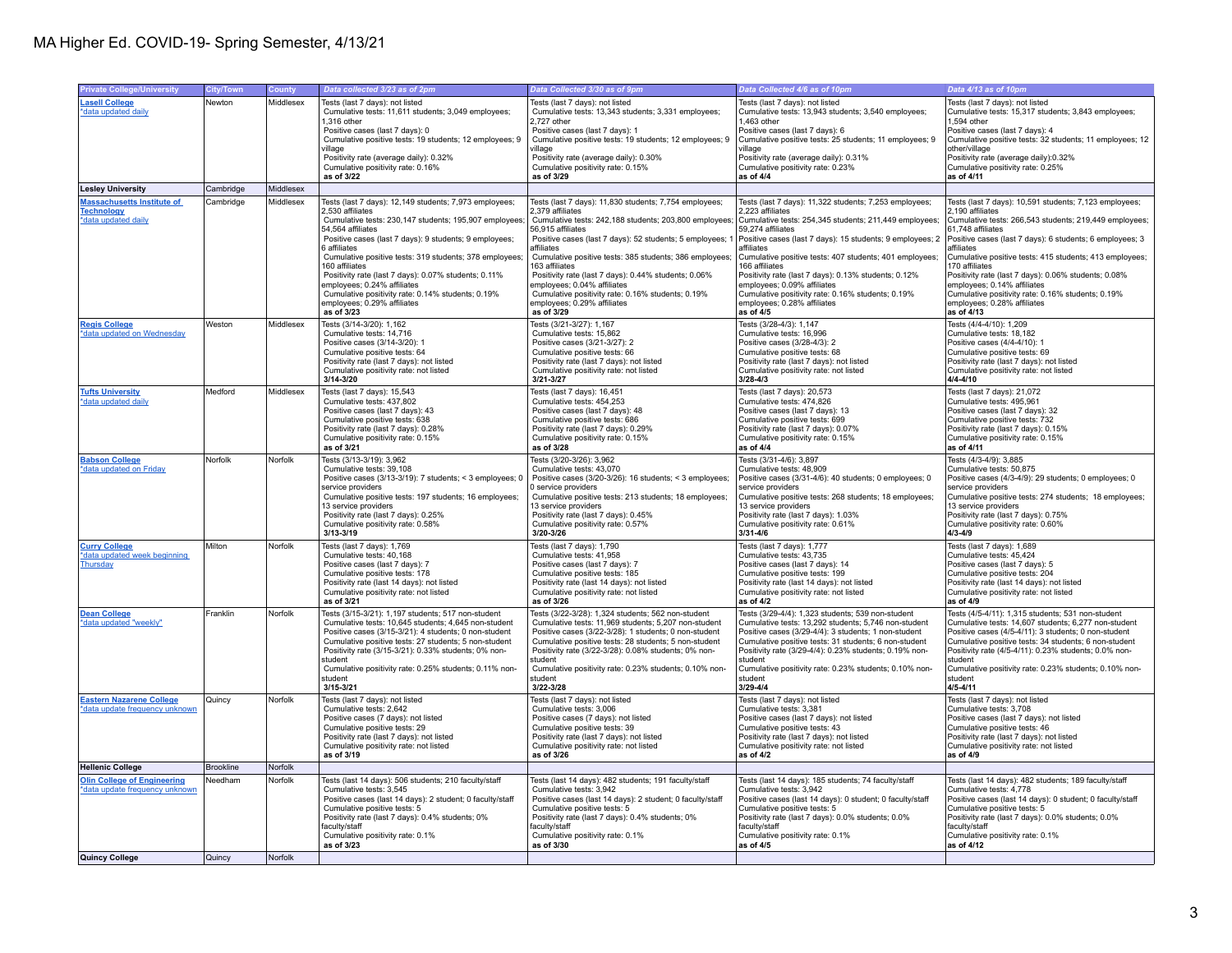## MA Higher Ed. COVID-19- Spring Semester, 4/13/21

| <b>Private College/University</b>  | <b>City/Town</b> | <b>County</b> | Data collected 3/23 as of 2pm                                                        | Data Collected 3/30 as of 9pm                                                        | Data Collected 4/6 as of 10pm                                                        | Data 4/13 as of 10pm                                                                 |
|------------------------------------|------------------|---------------|--------------------------------------------------------------------------------------|--------------------------------------------------------------------------------------|--------------------------------------------------------------------------------------|--------------------------------------------------------------------------------------|
| <b>Lasell College</b>              | Newton           | Middlesex     | Tests (last 7 days): not listed                                                      | Tests (last 7 days): not listed                                                      | Tests (last 7 days): not listed                                                      | Tests (last 7 days): not listed                                                      |
| *data updated daily                |                  |               | Cumulative tests: 11,611 students; 3,049 employees;                                  | Cumulative tests: 13,343 students; 3,331 employees;                                  | Cumulative tests: 13,943 students; 3,540 employees;                                  | Cumulative tests: 15,317 students; 3,843 employees;                                  |
|                                    |                  |               | 1.316 other                                                                          | 2.727 other                                                                          | 1.463 other                                                                          | 1.594 other                                                                          |
|                                    |                  |               | Positive cases (last 7 days): 0                                                      | Positive cases (last 7 days): 1                                                      | Positive cases (last 7 days): 6                                                      | Positive cases (last 7 days): 4                                                      |
|                                    |                  |               | Cumulative positive tests: 19 students; 12 employees; 9                              | Cumulative positive tests: 19 students; 12 employees; 9                              | Cumulative positive tests: 25 students; 11 employees; 9                              | Cumulative positive tests: 32 students; 11 employees; 12                             |
|                                    |                  |               | village<br>Positivity rate (average daily): 0.32%                                    | village<br>Positivity rate (average daily): 0.30%                                    | village<br>Positivity rate (average daily): 0.31%                                    | other/village<br>Positivity rate (average daily):0.32%                               |
|                                    |                  |               | Cumulative positivity rate: 0.16%                                                    | Cumulative positivity rate: 0.15%                                                    | Cumulative positivity rate: 0.23%                                                    | Cumulative positivity rate: 0.25%                                                    |
|                                    |                  |               | as of 3/22                                                                           | as of 3/29                                                                           | as of 4/4                                                                            | as of 4/11                                                                           |
| <b>Lesley University</b>           | Cambridge        | Middlesex     |                                                                                      |                                                                                      |                                                                                      |                                                                                      |
| <b>Massachusetts Institute of</b>  | Cambridge        | Middlesex     | Tests (last 7 days): 12,149 students; 7,973 employees;                               | Tests (last 7 days): 11,830 students; 7,754 employees;                               | Tests (last 7 days): 11,322 students; 7,253 employees;                               | Tests (last 7 days): 10,591 students; 7,123 employees;                               |
| <b>Technology</b>                  |                  |               | 2.530 affiliates                                                                     | 2.379 affiliates                                                                     | 2.223 affiliates                                                                     | 2.190 affiliates                                                                     |
| *data updated daily                |                  |               | Cumulative tests: 230,147 students; 195,907 employees;                               | Cumulative tests: 242,188 students; 203,800 employees;                               | Cumulative tests: 254,345 students; 211,449 employees;                               | Cumulative tests: 266,543 students; 219,449 employees;                               |
|                                    |                  |               | 54,564 affiliates                                                                    | 56,915 affiliates                                                                    | 59,274 affiliates                                                                    | 61,748 affiliates                                                                    |
|                                    |                  |               | Positive cases (last 7 days): 9 students; 9 employees;                               | Positive cases (last 7 days): 52 students; 5 employees; 1                            | Positive cases (last 7 days): 15 students; 9 employees; 2                            | Positive cases (last 7 days): 6 students; 6 employees; 3                             |
|                                    |                  |               | 6 affiliates                                                                         | affiliates                                                                           | affiliates                                                                           | affiliates                                                                           |
|                                    |                  |               | Cumulative positive tests: 319 students; 378 employees;<br>160 affiliates            | Cumulative positive tests: 385 students; 386 employees;<br>163 affiliates            | Cumulative positive tests: 407 students; 401 employees;                              | Cumulative positive tests: 415 students; 413 employees;<br>170 affiliates            |
|                                    |                  |               | Positivity rate (last 7 days): 0.07% students; 0.11%                                 | Positivity rate (last 7 days): 0.44% students; 0.06%                                 | 166 affiliates<br>Positivity rate (last 7 days): 0.13% students; 0.12%               | Positivity rate (last 7 days): 0.06% students; 0.08%                                 |
|                                    |                  |               | employees; 0.24% affiliates                                                          | employees; 0.04% affiliates                                                          | employees; 0.09% affiliates                                                          | employees; 0.14% affiliates                                                          |
|                                    |                  |               | Cumulative positivity rate: 0.14% students; 0.19%                                    | Cumulative positivity rate: 0.16% students; 0.19%                                    | Cumulative positivity rate: 0.16% students; 0.19%                                    | Cumulative positivity rate: 0.16% students; 0.19%                                    |
|                                    |                  |               | employees; 0.29% affiliates                                                          | employees; 0.29% affiliates                                                          | employees; 0.28% affiliates                                                          | employees; 0.28% affiliates                                                          |
|                                    |                  |               | as of 3/23                                                                           | as of 3/29                                                                           | as of 4/5                                                                            | as of 4/13                                                                           |
| <b>Regis College</b>               | Weston           | Middlesex     | Tests (3/14-3/20): 1,162                                                             | Tests (3/21-3/27): 1,167                                                             | Tests (3/28-4/3): 1,147                                                              | Tests (4/4-4/10): 1,209                                                              |
| *data updated on Wednesday         |                  |               | Cumulative tests: 14,716                                                             | Cumulative tests: 15,862                                                             | Cumulative tests: 16,996                                                             | Cumulative tests: 18,182                                                             |
|                                    |                  |               | Positive cases (3/14-3/20): 1<br>Cumulative positive tests: 64                       | Positive cases (3/21-3/27): 2<br>Cumulative positive tests: 66                       | Positive cases (3/28-4/3): 2<br>Cumulative positive tests: 68                        | Positive cases (4/4-4/10): 1<br>Cumulative positive tests: 69                        |
|                                    |                  |               | Positivity rate (last 7 days): not listed                                            | Positivity rate (last 7 days): not listed                                            | Positivity rate (last 7 days): not listed                                            | Positivity rate (last 7 days): not listed                                            |
|                                    |                  |               | Cumulative positivity rate: not listed                                               | Cumulative positivity rate: not listed                                               | Cumulative positivity rate: not listed                                               | Cumulative positivity rate: not listed                                               |
|                                    |                  |               | $3/14 - 3/20$                                                                        | $3/21 - 3/27$                                                                        | 3/28-4/3                                                                             | 4/4-4/10                                                                             |
| <b>Tufts University</b>            | Medford          | Middlesex     | Tests (last 7 days): 15,543                                                          | Tests (last 7 days): 16,451                                                          | Tests (last 7 days): 20,573                                                          | Tests (last 7 days): 21,072                                                          |
| *data updated daily                |                  |               | Cumulative tests: 437.802                                                            | Cumulative tests: 454.253                                                            | Cumulative tests: 474.826                                                            | Cumulative tests: 495.961                                                            |
|                                    |                  |               | Positive cases (last 7 days): 43                                                     | Positive cases (last 7 days): 48                                                     | Positive cases (last 7 days): 13                                                     | Positive cases (last 7 days): 32                                                     |
|                                    |                  |               | Cumulative positive tests: 638                                                       | Cumulative positive tests: 686                                                       | Cumulative positive tests: 699                                                       | Cumulative positive tests: 732                                                       |
|                                    |                  |               | Positivity rate (last 7 days): 0.28%<br>Cumulative positivity rate: 0.15%            | Positivity rate (last 7 days): 0.29%<br>Cumulative positivity rate: 0.15%            | Positivity rate (last 7 days): 0.07%<br>Cumulative positivity rate: 0.15%            | Positivity rate (last 7 days): 0.15%<br>Cumulative positivity rate: 0.15%            |
|                                    |                  |               | as of 3/21                                                                           | as of 3/28                                                                           | as of $4/4$                                                                          | as of 4/11                                                                           |
| <b>Babson College</b>              | Norfolk          | Norfolk       | Tests (3/13-3/19): 3,962                                                             | Tests (3/20-3/26): 3,962                                                             | Tests (3/31-4/6): 3,897                                                              | Tests (4/3-4/9): 3,885                                                               |
| *data updated on Friday            |                  |               | Cumulative tests: 39.108                                                             | Cumulative tests: 43.070                                                             | Cumulative tests: 48.909                                                             | Cumulative tests: 50.875                                                             |
|                                    |                  |               | Positive cases (3/13-3/19): 7 students; < 3 employees; 0                             | Positive cases (3/20-3/26): 16 students; < 3 employees;                              | Positive cases (3/31-4/6): 40 students; 0 employees; 0                               | Positive cases (4/3-4/9): 29 students; 0 employees; 0                                |
|                                    |                  |               | service providers                                                                    | 0 service providers                                                                  | service providers                                                                    | service providers                                                                    |
|                                    |                  |               | Cumulative positive tests: 197 students; 16 employees;                               | Cumulative positive tests: 213 students; 18 employees;                               | Cumulative positive tests: 268 students; 18 employees;                               | Cumulative positive tests: 274 students; 18 employees;                               |
|                                    |                  |               | 13 service providers<br>Positivity rate (last 7 days): 0.25%                         | 13 service providers<br>Positivity rate (last 7 days): 0.45%                         | 13 service providers<br>Positivity rate (last 7 days): 1.03%                         | 13 service providers<br>Positivity rate (last 7 days): 0.75%                         |
|                                    |                  |               | Cumulative positivity rate: 0.58%                                                    | Cumulative positivity rate: 0.57%                                                    | Cumulative positivity rate: 0.61%                                                    | Cumulative positivity rate: 0.60%                                                    |
|                                    |                  |               | $3/13 - 3/19$                                                                        | 3/20-3/26                                                                            | 3/31-4/6                                                                             | $4/3 - 4/9$                                                                          |
| <b>Curry College</b>               | Milton           | Norfolk       | Tests (last 7 days): 1,769                                                           | Tests (last 7 days): 1,790                                                           | Tests (last 7 days): 1,777                                                           | Tests (last 7 days): 1,689                                                           |
| *data updated week beginning       |                  |               | Cumulative tests: 40,168                                                             | Cumulative tests: 41,958                                                             | Cumulative tests: 43,735                                                             | Cumulative tests: 45,424                                                             |
| Thursday                           |                  |               | Positive cases (last 7 days): 7                                                      | Positive cases (last 7 days): 7                                                      | Positive cases (last 7 days): 14                                                     | Positive cases (last 7 days): 5                                                      |
|                                    |                  |               | Cumulative positive tests: 178                                                       | Cumulative positive tests: 185                                                       | Cumulative positive tests: 199                                                       | Cumulative positive tests: 204                                                       |
|                                    |                  |               | Positivity rate (last 14 days): not listed<br>Cumulative positivity rate: not listed | Positivity rate (last 14 days): not listed<br>Cumulative positivity rate: not listed | Positivity rate (last 14 days): not listed<br>Cumulative positivity rate: not listed | Positivity rate (last 14 days): not listed<br>Cumulative positivity rate: not listed |
|                                    |                  |               | as of 3/21                                                                           | as of 3/26                                                                           | as of 4/2                                                                            | as of 4/9                                                                            |
| <b>Dean College</b>                | Franklin         | Norfolk       | Tests (3/15-3/21): 1,197 students; 517 non-student                                   | Tests (3/22-3/28): 1,324 students; 562 non-student                                   | Tests (3/29-4/4): 1,323 students; 539 non-student                                    | Tests (4/5-4/11): 1,315 students; 531 non-student                                    |
| *data updated "weekly"             |                  |               | Cumulative tests: 10.645 students: 4.645 non-student                                 | Cumulative tests: 11.969 students: 5.207 non-student                                 | Cumulative tests: 13.292 students: 5.746 non-student                                 | Cumulative tests: 14.607 students: 6.277 non-student                                 |
|                                    |                  |               | Positive cases (3/15-3/21): 4 students; 0 non-student                                | Positive cases (3/22-3/28): 1 students; 0 non-student                                | Positive cases (3/29-4/4): 3 students; 1 non-student                                 | Positive cases (4/5-4/11): 3 students; 0 non-student                                 |
|                                    |                  |               | Cumulative positive tests: 27 students: 5 non-student                                | Cumulative positive tests: 28 students: 5 non-student                                | Cumulative positive tests: 31 students: 6 non-student                                | Cumulative positive tests: 34 students: 6 non-student                                |
|                                    |                  |               | Positivity rate (3/15-3/21): 0.33% students; 0% non-                                 | Positivity rate (3/22-3/28): 0.08% students; 0% non-                                 | Positivity rate (3/29-4/4): 0.23% students; 0.19% non-                               | Positivity rate (4/5-4/11): 0.23% students; 0.0% non-                                |
|                                    |                  |               | student<br>Cumulative positivity rate: 0.25% students; 0.11% non-                    | student<br>Cumulative positivity rate: 0.23% students; 0.10% non-                    | student<br>Cumulative positivity rate: 0.23% students; 0.10% non-                    | student<br>Cumulative positivity rate: 0.23% students; 0.10% non-                    |
|                                    |                  |               | student                                                                              | student                                                                              | student                                                                              | student                                                                              |
|                                    |                  |               | $3/15 - 3/21$                                                                        | 3/22-3/28                                                                            | 3/29-4/4                                                                             | 4/5-4/11                                                                             |
| <b>Eastern Nazarene College</b>    | Quincy           | Norfolk       | Tests (last 7 days): not listed                                                      | Tests (last 7 days): not listed                                                      | Tests (last 7 days): not listed                                                      | Tests (last 7 days): not listed                                                      |
| data update frequency unknown      |                  |               | Cumulative tests: 2,642                                                              | Cumulative tests: 3,006                                                              | Cumulative tests: 3,381                                                              | Cumulative tests: 3,708                                                              |
|                                    |                  |               | Positive cases (7 days): not listed                                                  | Positive cases (7 days): not listed                                                  | Positive cases (last 7 days): not listed                                             | Positive cases (last 7 days): not listed                                             |
|                                    |                  |               | Cumulative positive tests: 29                                                        | Cumulative positive tests: 39                                                        | Cumulative positive tests: 43                                                        | Cumulative positive tests: 46                                                        |
|                                    |                  |               | Positivity rate (last 7 days): not listed<br>Cumulative positivity rate: not listed  | Positivity rate (last 7 days): not listed<br>Cumulative positivity rate: not listed  | Positivity rate (last 7 days): not listed<br>Cumulative positivity rate: not listed  | Positivity rate (last 7 days): not listed<br>Cumulative positivity rate: not listed  |
|                                    |                  |               | as of 3/19                                                                           | as of 3/26                                                                           | as of 4/2                                                                            | as of 4/9                                                                            |
| <b>Hellenic College</b>            | Brookline        | Norfolk       |                                                                                      |                                                                                      |                                                                                      |                                                                                      |
| <b>Olin College of Engineering</b> | Needham          | Norfolk       | Tests (last 14 days): 506 students; 210 faculty/staff                                | Tests (last 14 days): 482 students; 191 faculty/staff                                | Tests (last 14 days): 185 students; 74 faculty/staff                                 | Tests (last 14 days): 482 students; 189 faculty/staff                                |
| data update frequency unknown      |                  |               | Cumulative tests: 3,545                                                              | Cumulative tests: 3,942                                                              | Cumulative tests: 3,942                                                              | Cumulative tests: 4,778                                                              |
|                                    |                  |               | Positive cases (last 14 days): 2 student; 0 faculty/staff                            | Positive cases (last 14 days): 2 student; 0 faculty/staff                            | Positive cases (last 14 days): 0 student; 0 faculty/staff                            | Positive cases (last 14 days): 0 student; 0 faculty/staff                            |
|                                    |                  |               | Cumulative positive tests: 5                                                         | Cumulative positive tests: 5                                                         | Cumulative positive tests: 5                                                         | Cumulative positive tests: 5                                                         |
|                                    |                  |               | Positivity rate (last 7 days): 0.4% students; 0%                                     | Positivity rate (last 7 days): 0.4% students; 0%                                     | Positivity rate (last 7 days): 0.0% students; 0.0%                                   | Positivity rate (last 7 days): 0.0% students; 0.0%                                   |
|                                    |                  |               | faculty/staff<br>Cumulative positivity rate: 0.1%                                    | faculty/staff<br>Cumulative positivity rate: 0.1%                                    | faculty/staff<br>Cumulative positivity rate: 0.1%                                    | faculty/staff<br>Cumulative positivity rate: 0.1%                                    |
|                                    |                  |               | as of 3/23                                                                           | as of 3/30                                                                           | as of 4/5                                                                            | as of 4/12                                                                           |
| Quincy College                     | Quincy           | Norfolk       |                                                                                      |                                                                                      |                                                                                      |                                                                                      |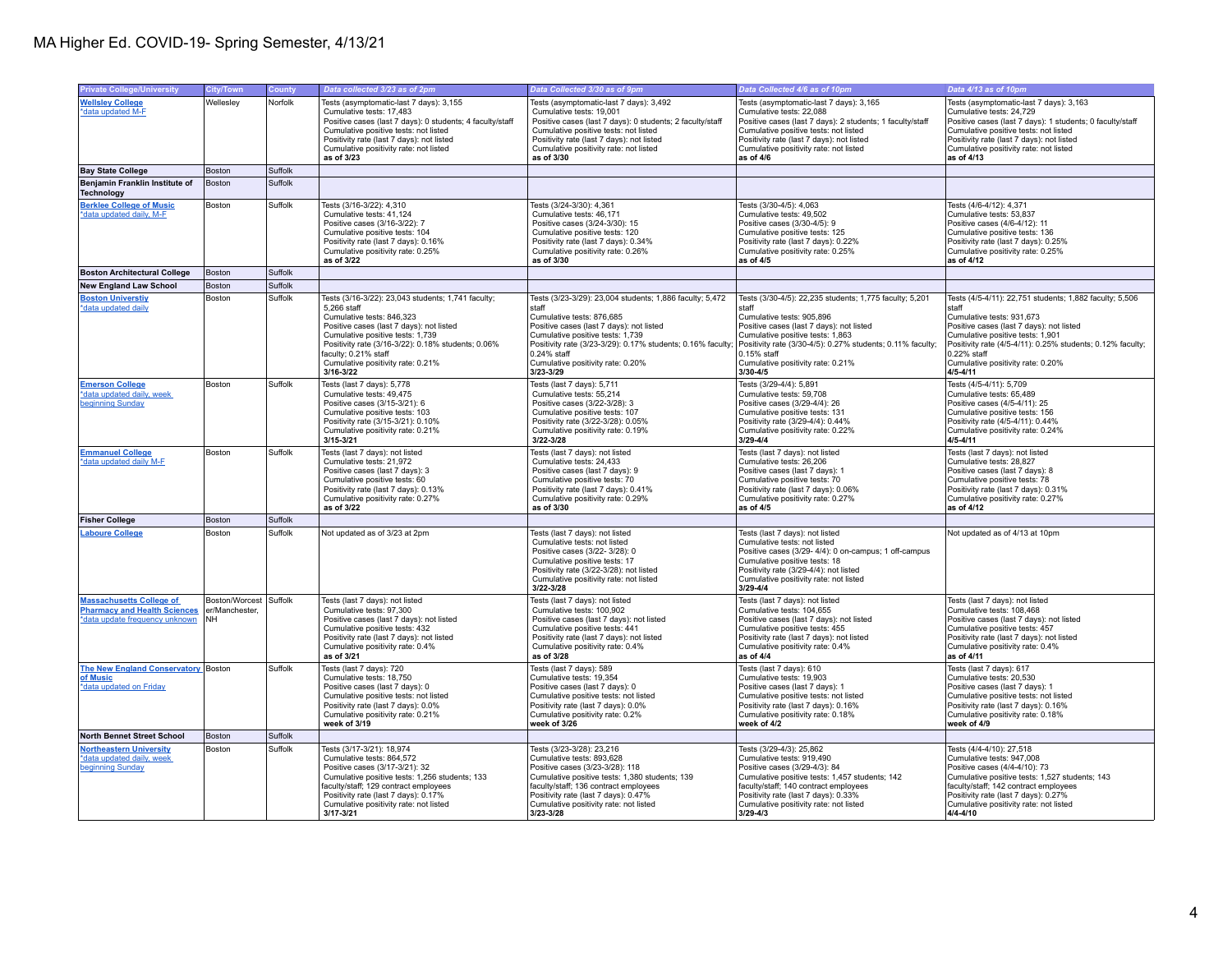| <b>Private College/University</b>                                                                        | City/Town                                     | County  | Data collected 3/23 as of 2pm                                                                                                                                                                                                                                                                                      | Data Collected 3/30 as of 9pm                                                                                                                                                                                                                                                                                  | Data Collected 4/6 as of 10pm                                                                                                                                                                                                                                                                               | Data 4/13 as of 10pm                                                                                                                                                                                                                                                                                            |
|----------------------------------------------------------------------------------------------------------|-----------------------------------------------|---------|--------------------------------------------------------------------------------------------------------------------------------------------------------------------------------------------------------------------------------------------------------------------------------------------------------------------|----------------------------------------------------------------------------------------------------------------------------------------------------------------------------------------------------------------------------------------------------------------------------------------------------------------|-------------------------------------------------------------------------------------------------------------------------------------------------------------------------------------------------------------------------------------------------------------------------------------------------------------|-----------------------------------------------------------------------------------------------------------------------------------------------------------------------------------------------------------------------------------------------------------------------------------------------------------------|
| <b>Wellsley College</b><br>*data updated M-F                                                             | Wellesley                                     | Norfolk | Tests (asymptomatic-last 7 days): 3,155<br>Cumulative tests: 17,483<br>Positive cases (last 7 days): 0 students; 4 faculty/staff<br>Cumulative positive tests: not listed<br>Positivity rate (last 7 days): not listed<br>Cumulative positivity rate: not listed<br>as of 3/23                                     | Tests (asymptomatic-last 7 days): 3,492<br>Cumulative tests: 19,001<br>Positive cases (last 7 days): 0 students; 2 faculty/staff<br>Cumulative positive tests: not listed<br>Positivity rate (last 7 days): not listed<br>Cumulative positivity rate: not listed<br>as of 3/30                                 | Tests (asymptomatic-last 7 days): 3,165<br>Cumulative tests: 22,088<br>Positive cases (last 7 days): 2 students; 1 faculty/staff<br>Cumulative positive tests: not listed<br>Positivity rate (last 7 days): not listed<br>Cumulative positivity rate: not listed<br>as of 4/6                               | Tests (asymptomatic-last 7 days): 3,163<br>Cumulative tests: 24,729<br>Positive cases (last 7 days): 1 students; 0 faculty/staff<br>Cumulative positive tests: not listed<br>Positivity rate (last 7 days): not listed<br>Cumulative positivity rate: not listed<br>as of 4/13                                  |
| <b>Bay State College</b>                                                                                 | Boston                                        | Suffolk |                                                                                                                                                                                                                                                                                                                    |                                                                                                                                                                                                                                                                                                                |                                                                                                                                                                                                                                                                                                             |                                                                                                                                                                                                                                                                                                                 |
| Benjamin Franklin Institute of<br><b>Technology</b>                                                      | Boston                                        | Suffolk |                                                                                                                                                                                                                                                                                                                    |                                                                                                                                                                                                                                                                                                                |                                                                                                                                                                                                                                                                                                             |                                                                                                                                                                                                                                                                                                                 |
| <b>Berklee College of Music</b><br>*data updated daily, M-F                                              | Boston                                        | Suffolk | Tests (3/16-3/22): 4,310<br>Cumulative tests: 41.124<br>Positive cases (3/16-3/22): 7<br>Cumulative positive tests: 104<br>Positivity rate (last 7 days): 0.16%<br>Cumulative positivity rate: 0.25%<br>as of 3/22                                                                                                 | Tests (3/24-3/30): 4,361<br>Cumulative tests: 46.171<br>Positive cases (3/24-3/30): 15<br>Cumulative positive tests: 120<br>Positivity rate (last 7 days): 0.34%<br>Cumulative positivity rate: 0.26%<br>as of 3/30                                                                                            | Tests (3/30-4/5): 4,063<br>Cumulative tests: 49.502<br>Positive cases (3/30-4/5): 9<br>Cumulative positive tests: 125<br>Positivity rate (last 7 days): 0.22%<br>Cumulative positivity rate: 0.25%<br>as of 4/5                                                                                             | Tests (4/6-4/12): 4,371<br>Cumulative tests: 53.837<br>Positive cases (4/6-4/12): 11<br>Cumulative positive tests: 136<br>Positivity rate (last 7 days): 0.25%<br>Cumulative positivity rate: 0.25%<br>as of 4/12                                                                                               |
| <b>Boston Architectural College</b>                                                                      | Boston                                        | Suffolk |                                                                                                                                                                                                                                                                                                                    |                                                                                                                                                                                                                                                                                                                |                                                                                                                                                                                                                                                                                                             |                                                                                                                                                                                                                                                                                                                 |
| <b>New England Law School</b>                                                                            | Boston                                        | Suffolk |                                                                                                                                                                                                                                                                                                                    |                                                                                                                                                                                                                                                                                                                |                                                                                                                                                                                                                                                                                                             |                                                                                                                                                                                                                                                                                                                 |
| <b>Boston Universtiv</b><br>*data updated daily                                                          | Boston                                        | Suffolk | Tests (3/16-3/22): 23,043 students; 1,741 faculty;<br>5.266 staff<br>Cumulative tests: 846,323<br>Positive cases (last 7 days): not listed<br>Cumulative positive tests: 1,739<br>Positivity rate (3/16-3/22): 0.18% students; 0.06%<br>faculty; 0.21% staff<br>Cumulative positivity rate: 0.21%<br>$3/16 - 3/22$ | Tests (3/23-3/29): 23,004 students; 1,886 faculty; 5,472<br>staff<br>Cumulative tests: 876,685<br>Positive cases (last 7 days): not listed<br>Cumulative positive tests: 1.739<br>Positivity rate (3/23-3/29): 0.17% students; 0.16% faculty;<br>0.24% staff<br>Cumulative positivity rate: 0.20%<br>3/23-3/29 | Tests (3/30-4/5): 22,235 students; 1,775 faculty; 5,201<br>staff<br>Cumulative tests: 905,896<br>Positive cases (last 7 days): not listed<br>Cumulative positive tests: 1.863<br>Positivity rate (3/30-4/5): 0.27% students; 0.11% faculty;<br>0.15% staff<br>Cumulative positivity rate: 0.21%<br>3/30-4/5 | Tests (4/5-4/11): 22,751 students; 1,882 faculty; 5,506<br>staff<br>Cumulative tests: 931,673<br>Positive cases (last 7 days): not listed<br>Cumulative positive tests: 1.901<br>Positivity rate (4/5-4/11): 0.25% students; 0.12% faculty;<br>0.22% staff<br>Cumulative positivity rate: 0.20%<br>$4/5 - 4/11$ |
| <b>Emerson College</b><br>*data updated daily, week<br>beginning Sunday                                  | Boston                                        | Suffolk | Tests (last 7 days): 5,778<br>Cumulative tests: 49,475<br>Positive cases (3/15-3/21): 6<br>Cumulative positive tests: 103<br>Positivity rate (3/15-3/21): 0.10%<br>Cumulative positivity rate: 0.21%<br>$3/15 - 3/21$                                                                                              | Tests (last 7 days): 5,711<br>Cumulative tests: 55,214<br>Positive cases (3/22-3/28): 3<br>Cumulative positive tests: 107<br>Positivity rate (3/22-3/28): 0.05%<br>Cumulative positivity rate: 0.19%<br>3/22-3/28                                                                                              | Tests (3/29-4/4): 5,891<br>Cumulative tests: 59,708<br>Positive cases (3/29-4/4): 26<br>Cumulative positive tests: 131<br>Positivity rate (3/29-4/4): 0.44%<br>Cumulative positivity rate: 0.22%<br>$3/29 - 4/4$                                                                                            | Tests (4/5-4/11): 5,709<br>Cumulative tests: 65,489<br>Positive cases (4/5-4/11): 25<br>Cumulative positive tests: 156<br>Positivity rate (4/5-4/11): 0.44%<br>Cumulative positivity rate: 0.24%<br>$4/5 - 4/11$                                                                                                |
| <b>Emmanuel College</b><br>*data updated daily M-F                                                       | Boston                                        | Suffolk | Tests (last 7 days): not listed<br>Cumulative tests: 21.972<br>Positive cases (last 7 days): 3<br>Cumulative positive tests: 60<br>Positivity rate (last 7 days): 0.13%<br>Cumulative positivity rate: 0.27%<br>as of 3/22                                                                                         | Tests (last 7 days): not listed<br>Cumulative tests: 24.433<br>Positive cases (last 7 days): 9<br>Cumulative positive tests: 70<br>Positivity rate (last 7 days): 0.41%<br>Cumulative positivity rate: 0.29%<br>as of 3/30                                                                                     | Tests (last 7 days): not listed<br>Cumulative tests: 26.206<br>Positive cases (last 7 days): 1<br>Cumulative positive tests: 70<br>Positivity rate (last 7 days): 0.06%<br>Cumulative positivity rate: 0.27%<br>as of 4/5                                                                                   | Tests (last 7 days): not listed<br>Cumulative tests: 28.827<br>Positive cases (last 7 days): 8<br>Cumulative positive tests: 78<br>Positivity rate (last 7 days): 0.31%<br>Cumulative positivity rate: 0.27%<br>as of 4/12                                                                                      |
| <b>Fisher College</b>                                                                                    | Boston                                        | Suffolk |                                                                                                                                                                                                                                                                                                                    |                                                                                                                                                                                                                                                                                                                |                                                                                                                                                                                                                                                                                                             |                                                                                                                                                                                                                                                                                                                 |
| <b>Laboure College</b>                                                                                   | Boston                                        | Suffolk | Not updated as of 3/23 at 2pm                                                                                                                                                                                                                                                                                      | Tests (last 7 days): not listed<br>Cumulative tests: not listed<br>Positive cases (3/22- 3/28): 0<br>Cumulative positive tests: 17<br>Positivity rate (3/22-3/28): not listed<br>Cumulative positivity rate: not listed<br>3/22-3/28                                                                           | Tests (last 7 days); not listed<br>Cumulative tests: not listed<br>Positive cases (3/29- 4/4): 0 on-campus; 1 off-campus<br>Cumulative positive tests: 18<br>Positivity rate (3/29-4/4): not listed<br>Cumulative positivity rate: not listed<br>$3/29 - 4/4$                                               | Not updated as of 4/13 at 10pm                                                                                                                                                                                                                                                                                  |
| <b>Massachusetts College of</b><br><b>Pharmacy and Health Sciences</b><br>*data update frequency unknown | Boston/Worcest<br>er/Manchester,<br><b>NH</b> | Suffolk | Tests (last 7 days): not listed<br>Cumulative tests: 97,300<br>Positive cases (last 7 days): not listed<br>Cumulative positive tests: 432<br>Positivity rate (last 7 days): not listed<br>Cumulative positivity rate: 0.4%<br>as of 3/21                                                                           | Tests (last 7 days): not listed<br>Cumulative tests: 100,902<br>Positive cases (last 7 days): not listed<br>Cumulative positive tests: 441<br>Positivity rate (last 7 days): not listed<br>Cumulative positivity rate: 0.4%<br>as of 3/28                                                                      | Tests (last 7 days): not listed<br>Cumulative tests: 104,655<br>Positive cases (last 7 days): not listed<br>Cumulative positive tests: 455<br>Positivity rate (last 7 days): not listed<br>Cumulative positivity rate: 0.4%<br>as of 4/4                                                                    | Tests (last 7 days): not listed<br>Cumulative tests: 108,468<br>Positive cases (last 7 days): not listed<br>Cumulative positive tests: 457<br>Positivity rate (last 7 days): not listed<br>Cumulative positivity rate: 0.4%<br>as of $4/11$                                                                     |
| The New England Conservatory Boston<br>of Music<br>*data updated on Friday                               |                                               | Suffolk | Tests (last 7 days): 720<br>Cumulative tests: 18,750<br>Positive cases (last 7 days): 0<br>Cumulative positive tests: not listed<br>Positivity rate (last 7 days): 0.0%<br>Cumulative positivity rate: 0.21%<br>week of 3/19                                                                                       | Tests (last 7 days): 589<br>Cumulative tests: 19,354<br>Positive cases (last 7 days): 0<br>Cumulative positive tests: not listed<br>Positivity rate (last 7 days): 0.0%<br>Cumulative positivity rate: 0.2%<br>week of 3/26                                                                                    | Tests (last 7 days): 610<br>Cumulative tests: 19,903<br>Positive cases (last 7 days): 1<br>Cumulative positive tests: not listed<br>Positivity rate (last 7 days): 0.16%<br>Cumulative positivity rate: 0.18%<br>week of 4/2                                                                                | Tests (last 7 days): 617<br>Cumulative tests: 20,530<br>Positive cases (last 7 days): 1<br>Cumulative positive tests: not listed<br>Positivity rate (last 7 days): 0.16%<br>Cumulative positivity rate: 0.18%<br>week of 4/9                                                                                    |
| <b>North Bennet Street School</b>                                                                        | Boston                                        | Suffolk |                                                                                                                                                                                                                                                                                                                    |                                                                                                                                                                                                                                                                                                                |                                                                                                                                                                                                                                                                                                             |                                                                                                                                                                                                                                                                                                                 |
| <b>Northeastern University</b><br>*data updated daily, week<br>beginning Sunday                          | Boston                                        | Suffolk | Tests (3/17-3/21): 18,974<br>Cumulative tests: 864,572<br>Positive cases (3/17-3/21): 32<br>Cumulative positive tests: 1,256 students; 133<br>faculty/staff; 129 contract employees<br>Positivity rate (last 7 days): 0.17%<br>Cumulative positivity rate: not listed<br>$3/17 - 3/21$                             | Tests (3/23-3/28): 23,216<br>Cumulative tests: 893,628<br>Positive cases (3/23-3/28): 118<br>Cumulative positive tests: 1,380 students; 139<br>faculty/staff; 136 contract employees<br>Positivity rate (last 7 days): 0.47%<br>Cumulative positivity rate: not listed<br>3/23-3/28                            | Tests (3/29-4/3): 25,862<br>Cumulative tests: 919,490<br>Positive cases (3/29-4/3): 84<br>Cumulative positive tests: 1,457 students; 142<br>faculty/staff; 140 contract employees<br>Positivity rate (last 7 days): 0.33%<br>Cumulative positivity rate: not listed<br>$3/29 - 4/3$                         | Tests (4/4-4/10): 27,518<br>Cumulative tests: 947,008<br>Positive cases (4/4-4/10): 73<br>Cumulative positive tests: 1,527 students; 143<br>faculty/staff; 142 contract employees<br>Positivity rate (last 7 days): 0.27%<br>Cumulative positivity rate: not listed<br>$4/4 - 4/10$                             |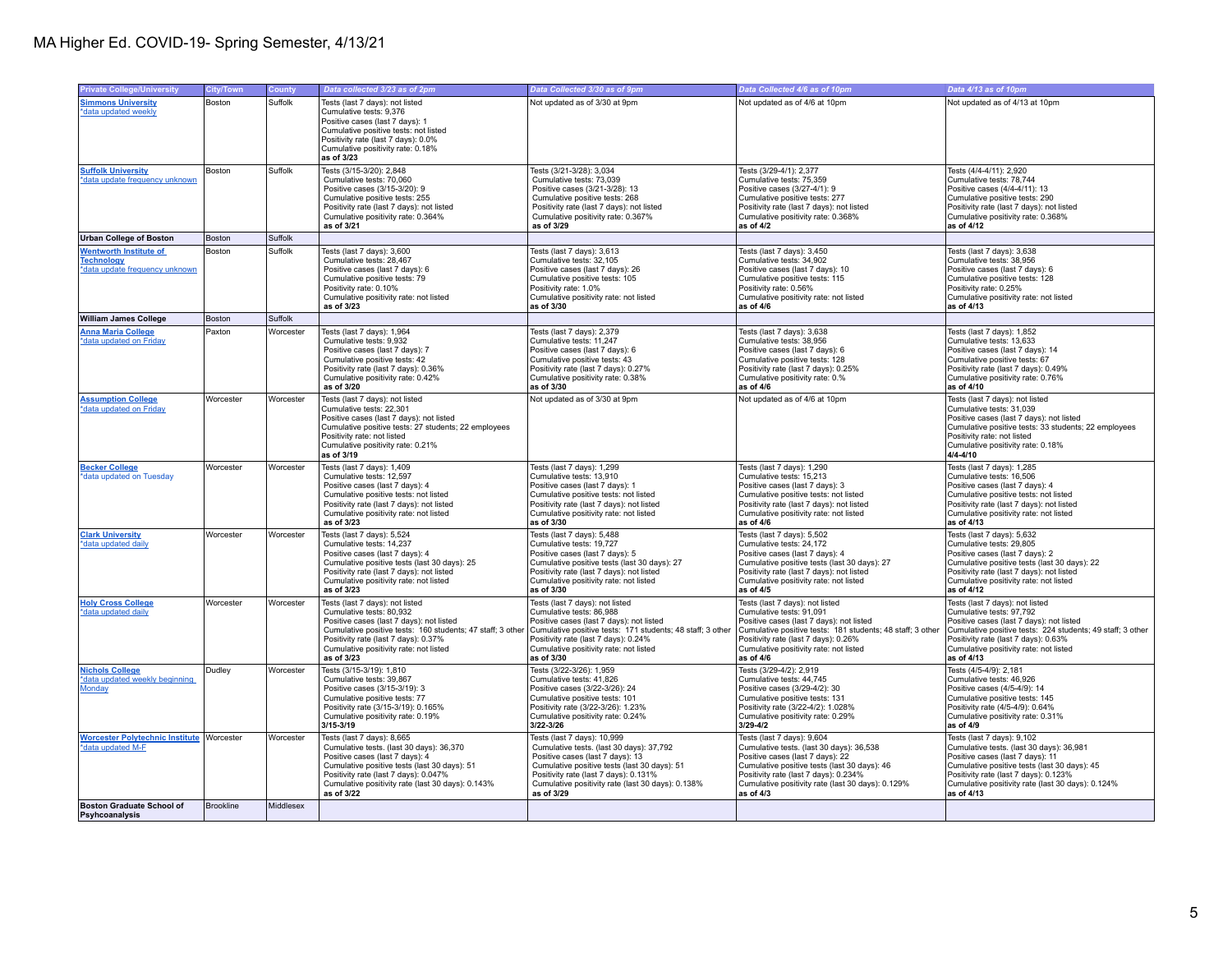|                                                                                      |                  |           |                                                                                                                                                                                                                                                                       |                                                                                                                                                                                                                                                                         |                                                                                                                                                                                                                                                                         | Data 4/13 as of 10pm                                                                                                                                                                                                                                                   |
|--------------------------------------------------------------------------------------|------------------|-----------|-----------------------------------------------------------------------------------------------------------------------------------------------------------------------------------------------------------------------------------------------------------------------|-------------------------------------------------------------------------------------------------------------------------------------------------------------------------------------------------------------------------------------------------------------------------|-------------------------------------------------------------------------------------------------------------------------------------------------------------------------------------------------------------------------------------------------------------------------|------------------------------------------------------------------------------------------------------------------------------------------------------------------------------------------------------------------------------------------------------------------------|
| <b>Private College/University</b>                                                    | <b>City/Town</b> | County    | Data collected 3/23 as of 2pm                                                                                                                                                                                                                                         | Data Collected 3/30 as of 9pm                                                                                                                                                                                                                                           | Data Collected 4/6 as of 10pm                                                                                                                                                                                                                                           |                                                                                                                                                                                                                                                                        |
| <b>Simmons University</b><br>*data updated weekly                                    | <b>Boston</b>    | Suffolk   | Tests (last 7 days): not listed<br>Cumulative tests: 9,376<br>Positive cases (last 7 days): 1<br>Cumulative positive tests: not listed<br>Positivity rate (last 7 days): 0.0%<br>Cumulative positivity rate: 0.18%<br>as of 3/23                                      | Not updated as of 3/30 at 9pm                                                                                                                                                                                                                                           | Not updated as of 4/6 at 10pm                                                                                                                                                                                                                                           | Not updated as of 4/13 at 10pm                                                                                                                                                                                                                                         |
| <b>Suffolk University</b><br>*data update frequency unknown                          | Boston           | Suffolk   | Tests (3/15-3/20): 2,848<br>Cumulative tests: 70,060<br>Positive cases (3/15-3/20): 9<br>Cumulative positive tests: 255<br>Positivity rate (last 7 days): not listed<br>Cumulative positivity rate: 0.364%<br>as of 3/21                                              | Tests (3/21-3/28): 3,034<br>Cumulative tests: 73,039<br>Positive cases (3/21-3/28): 13<br>Cumulative positive tests: 268<br>Positivity rate (last 7 days): not listed<br>Cumulative positivity rate: 0.367%<br>as of 3/29                                               | Tests (3/29-4/1): 2,377<br>Cumulative tests: 75,359<br>Positive cases (3/27-4/1): 9<br>Cumulative positive tests: 277<br>Positivity rate (last 7 days): not listed<br>Cumulative positivity rate: 0.368%<br>as of $4/2$                                                 | Tests (4/4-4/11): 2,920<br>Cumulative tests: 78,744<br>Positive cases (4/4-4/11): 13<br>Cumulative positive tests: 290<br>Positivity rate (last 7 days): not listed<br>Cumulative positivity rate: 0.368%<br>as of 4/12                                                |
| <b>Urban College of Boston</b>                                                       | Boston           | Suffolk   |                                                                                                                                                                                                                                                                       |                                                                                                                                                                                                                                                                         |                                                                                                                                                                                                                                                                         |                                                                                                                                                                                                                                                                        |
| <b>Wentworth Institute of</b><br><b>Technology</b><br>*data update frequency unknown | Boston           | Suffolk   | Tests (last 7 days): 3,600<br>Cumulative tests: 28,467<br>Positive cases (last 7 days): 6<br>Cumulative positive tests: 79<br>Positivity rate: 0.10%<br>Cumulative positivity rate: not listed<br>as of 3/23                                                          | Tests (last 7 days): 3,613<br>Cumulative tests: 32,105<br>Positive cases (last 7 days): 26<br>Cumulative positive tests: 105<br>Positivity rate: 1.0%<br>Cumulative positivity rate: not listed<br>as of 3/30                                                           | Tests (last 7 days): 3,450<br>Cumulative tests: 34,902<br>Positive cases (last 7 days): 10<br>Cumulative positive tests: 115<br>Positivity rate: 0.56%<br>Cumulative positivity rate: not listed<br>as of 4/6                                                           | Tests (last 7 days): 3,638<br>Cumulative tests: 38,956<br>Positive cases (last 7 days): 6<br>Cumulative positive tests: 128<br>Positivity rate: 0.25%<br>Cumulative positivity rate: not listed<br>as of 4/13                                                          |
| <b>William James College</b>                                                         | <b>Boston</b>    | Suffolk   |                                                                                                                                                                                                                                                                       |                                                                                                                                                                                                                                                                         |                                                                                                                                                                                                                                                                         |                                                                                                                                                                                                                                                                        |
| <b>Anna Maria College</b><br>*data updated on Friday                                 | Paxton           | Worcester | Tests (last 7 days): 1,964<br>Cumulative tests: 9,932<br>Positive cases (last 7 days): 7<br>Cumulative positive tests: 42<br>Positivity rate (last 7 days): 0.36%<br>Cumulative positivity rate: 0.42%<br>as of 3/20                                                  | Tests (last 7 days): 2,379<br>Cumulative tests: 11,247<br>Positive cases (last 7 days): 6<br>Cumulative positive tests: 43<br>Positivity rate (last 7 days): 0.27%<br>Cumulative positivity rate: 0.38%<br>as of 3/30                                                   | Tests (last 7 days): 3,638<br>Cumulative tests: 38,956<br>Positive cases (last 7 days): 6<br>Cumulative positive tests: 128<br>Positivity rate (last 7 days): 0.25%<br>Cumulative positivity rate: 0.%<br>as of 4/6                                                     | Tests (last 7 days): 1,852<br>Cumulative tests: 13,633<br>Positive cases (last 7 days): 14<br>Cumulative positive tests: 67<br>Positivity rate (last 7 days): 0.49%<br>Cumulative positivity rate: 0.76%<br>as of 4/10                                                 |
| <b>Assumption College</b><br>*data updated on Friday                                 | Worcester        | Worcester | Tests (last 7 days): not listed<br>Cumulative tests: 22,301<br>Positive cases (last 7 days): not listed<br>Cumulative positive tests: 27 students; 22 employees<br>Positivity rate: not listed<br>Cumulative positivity rate: 0.21%<br>as of 3/19                     | Not updated as of 3/30 at 9pm                                                                                                                                                                                                                                           | Not updated as of 4/6 at 10pm                                                                                                                                                                                                                                           | Tests (last 7 days): not listed<br>Cumulative tests: 31,039<br>Positive cases (last 7 days): not listed<br>Cumulative positive tests: 33 students; 22 employees<br>Positivity rate: not listed<br>Cumulative positivity rate: 0.18%<br>$4/4 - 4/10$                    |
| <b>Becker College</b><br>*data updated on Tuesday                                    | Worcester        | Worcester | Tests (last 7 days): 1,409<br>Cumulative tests: 12,597<br>Positive cases (last 7 days): 4<br>Cumulative positive tests: not listed<br>Positivity rate (last 7 days): not listed<br>Cumulative positivity rate: not listed<br>as of 3/23                               | Tests (last 7 days): 1,299<br>Cumulative tests: 13,910<br>Positive cases (last 7 days): 1<br>Cumulative positive tests: not listed<br>Positivity rate (last 7 days): not listed<br>Cumulative positivity rate: not listed<br>as of 3/30                                 | Tests (last 7 days): 1,290<br>Cumulative tests: 15,213<br>Positive cases (last 7 days): 3<br>Cumulative positive tests: not listed<br>Positivity rate (last 7 days): not listed<br>Cumulative positivity rate: not listed<br>as of $4/6$                                | Tests (last 7 days): 1,285<br>Cumulative tests: 16,506<br>Positive cases (last 7 days): 4<br>Cumulative positive tests: not listed<br>Positivity rate (last 7 days): not listed<br>Cumulative positivity rate: not listed<br>as of 4/13                                |
| <b>Clark University</b><br>*data updated daily                                       | Worcester        | Worcester | Tests (last 7 days): 5,524<br>Cumulative tests: 14,237<br>Positive cases (last 7 days): 4<br>Cumulative positive tests (last 30 days): 25<br>Positivity rate (last 7 days): not listed<br>Cumulative positivity rate: not listed<br>as of 3/23                        | Tests (last 7 days): 5,488<br>Cumulative tests: 19,727<br>Positive cases (last 7 days): 5<br>Cumulative positive tests (last 30 days): 27<br>Positivity rate (last 7 days): not listed<br>Cumulative positivity rate: not listed<br>as of 3/30                          | Tests (last 7 days): 5,502<br>Cumulative tests: 24,172<br>Positive cases (last 7 days): 4<br>Cumulative positive tests (last 30 days): 27<br>Positivity rate (last 7 days): not listed<br>Cumulative positivity rate: not listed<br>as of 4/5                           | Tests (last 7 days): 5,632<br>Cumulative tests: 29,805<br>Positive cases (last 7 days): 2<br>Cumulative positive tests (last 30 days): 22<br>Positivity rate (last 7 days): not listed<br>Cumulative positivity rate: not listed<br>as of 4/12                         |
| <b>Holy Cross College</b><br>*data updated daily                                     | Worcester        | Worcester | Tests (last 7 days): not listed<br>Cumulative tests: 80,932<br>Positive cases (last 7 days): not listed<br>Cumulative positive tests: 160 students; 47 staff; 3 other<br>Positivity rate (last 7 days): 0.37%<br>Cumulative positivity rate: not listed<br>as of 3/23 | Tests (last 7 days): not listed<br>Cumulative tests: 86,988<br>Positive cases (last 7 days): not listed<br>Cumulative positive tests: 171 students; 48 staff; 3 other<br>Positivity rate (last 7 days): 0.24%<br>Cumulative positivity rate: not listed<br>as of 3/30   | Tests (last 7 days): not listed<br>Cumulative tests: 91,091<br>Positive cases (last 7 days): not listed<br>Cumulative positive tests: 181 students; 48 staff; 3 other<br>Positivity rate (last 7 days): 0.26%<br>Cumulative positivity rate: not listed<br>as of 4/6    | Tests (last 7 days): not listed<br>Cumulative tests: 97,792<br>Positive cases (last 7 days): not listed<br>Cumulative positive tests: 224 students; 49 staff; 3 other<br>Positivity rate (last 7 days): 0.63%<br>Cumulative positivity rate: not listed<br>as of 4/13  |
| <b>Nichols College</b><br>*data updated weekly beginning<br>Monday                   | Dudley           | Worcester | Tests (3/15-3/19): 1,810<br>Cumulative tests: 39,867<br>Positive cases (3/15-3/19): 3<br>Cumulative positive tests: 77<br>Positivity rate (3/15-3/19): 0.165%<br>Cumulative positivity rate: 0.19%<br>$3/15 - 3/19$                                                   | Tests (3/22-3/26): 1,959<br>Cumulative tests: 41,826<br>Positive cases (3/22-3/26): 24<br>Cumulative positive tests: 101<br>Positivity rate (3/22-3/26): 1.23%<br>Cumulative positivity rate: 0.24%<br>3/22-3/26                                                        | Tests (3/29-4/2): 2,919<br>Cumulative tests: 44,745<br>Positive cases (3/29-4/2): 30<br>Cumulative positive tests: 131<br>Positivity rate (3/22-4/2): 1.028%<br>Cumulative positivity rate: 0.29%<br>3/29-4/2                                                           | Tests (4/5-4/9): 2,181<br>Cumulative tests: 46,926<br>Positive cases (4/5-4/9): 14<br>Cumulative positive tests: 145<br>Positivity rate (4/5-4/9): 0.64%<br>Cumulative positivity rate: 0.31%<br>as of 4/9                                                             |
| <b>Worcester Polytechnic Institute Worcester</b><br>*data updated M-F                |                  | Worcester | Tests (last 7 days): 8,665<br>Cumulative tests. (last 30 days): 36,370<br>Positive cases (last 7 days): 4<br>Cumulative positive tests (last 30 days): 51<br>Positivity rate (last 7 days): 0.047%<br>Cumulative positivity rate (last 30 days): 0.143%<br>as of 3/22 | Tests (last 7 days): 10,999<br>Cumulative tests. (last 30 days): 37,792<br>Positive cases (last 7 days): 13<br>Cumulative positive tests (last 30 days): 51<br>Positivity rate (last 7 days): 0.131%<br>Cumulative positivity rate (last 30 days): 0.138%<br>as of 3/29 | Tests (last 7 days): 9,604<br>Cumulative tests. (last 30 days): 36,538<br>Positive cases (last 7 days): 22<br>Cumulative positive tests (last 30 days): 46<br>Positivity rate (last 7 days): 0.234%<br>Cumulative positivity rate (last 30 days): 0.129%<br>as of $4/3$ | Tests (last 7 days): 9,102<br>Cumulative tests. (last 30 days): 36,981<br>Positive cases (last 7 days): 11<br>Cumulative positive tests (last 30 days): 45<br>Positivity rate (last 7 days): 0.123%<br>Cumulative positivity rate (last 30 days): 0.124%<br>as of 4/13 |
| <b>Boston Graduate School of</b><br>Psyhcoanalysis                                   | Brookline        | Middlesex |                                                                                                                                                                                                                                                                       |                                                                                                                                                                                                                                                                         |                                                                                                                                                                                                                                                                         |                                                                                                                                                                                                                                                                        |